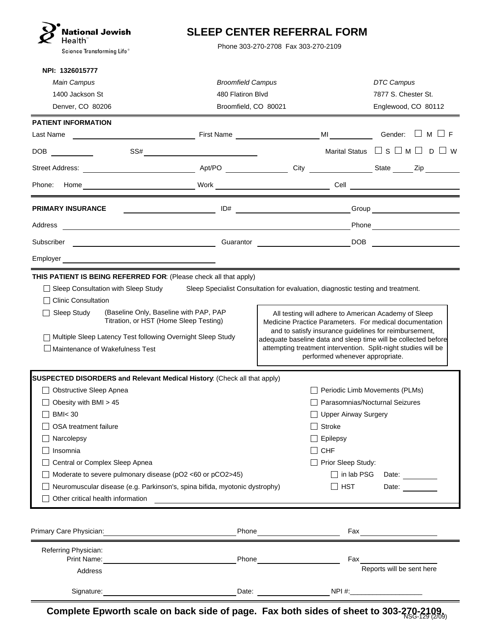| <b>National Jewish</b><br><b>SLEEP CENTER REFERRAL FORM</b><br>Health`<br>Phone 303-270-2708 Fax 303-270-2109<br>Science Transforming Life®                                                                                                                                                                                                      |                                                                       |                                                                                                                                                                                                                                                                                                                                                  |                                                                                           |
|--------------------------------------------------------------------------------------------------------------------------------------------------------------------------------------------------------------------------------------------------------------------------------------------------------------------------------------------------|-----------------------------------------------------------------------|--------------------------------------------------------------------------------------------------------------------------------------------------------------------------------------------------------------------------------------------------------------------------------------------------------------------------------------------------|-------------------------------------------------------------------------------------------|
| NPI: 1326015777<br><b>Main Campus</b><br>1400 Jackson St<br>Denver, CO 80206                                                                                                                                                                                                                                                                     | <b>Broomfield Campus</b><br>480 Flatiron Blvd<br>Broomfield, CO 80021 |                                                                                                                                                                                                                                                                                                                                                  | DTC Campus<br>7877 S. Chester St.<br>Englewood, CO 80112                                  |
| <b>PATIENT INFORMATION</b><br>Last Name                                                                                                                                                                                                                                                                                                          |                                                                       | <b>MI MI</b>                                                                                                                                                                                                                                                                                                                                     | Gender: $\Box$ M $\Box$ F                                                                 |
| DOB                                                                                                                                                                                                                                                                                                                                              |                                                                       |                                                                                                                                                                                                                                                                                                                                                  | Marital Status $\Box$ S $\Box$ M $\Box$ D                                                 |
| SS#                                                                                                                                                                                                                                                                                                                                              |                                                                       |                                                                                                                                                                                                                                                                                                                                                  |                                                                                           |
|                                                                                                                                                                                                                                                                                                                                                  |                                                                       |                                                                                                                                                                                                                                                                                                                                                  |                                                                                           |
| Phone:                                                                                                                                                                                                                                                                                                                                           |                                                                       |                                                                                                                                                                                                                                                                                                                                                  |                                                                                           |
| <b>PRIMARY INSURANCE</b>                                                                                                                                                                                                                                                                                                                         | ID#                                                                   |                                                                                                                                                                                                                                                                                                                                                  |                                                                                           |
| Address                                                                                                                                                                                                                                                                                                                                          |                                                                       |                                                                                                                                                                                                                                                                                                                                                  |                                                                                           |
| <u> 1989 - Johann Barn, fransk politik (d. 1989)</u><br>Subscriber                                                                                                                                                                                                                                                                               |                                                                       | Guarantor DOB                                                                                                                                                                                                                                                                                                                                    |                                                                                           |
| Employer <u>example and the set of the set of the set of the set of the set of the set of the set of the set of the set of the set of the set of the set of the set of the set of the set of the set of the set of the set of th</u>                                                                                                             |                                                                       |                                                                                                                                                                                                                                                                                                                                                  |                                                                                           |
| (Baseline Only, Baseline with PAP, PAP<br>Sleep Study<br>Titration, or HST (Home Sleep Testing)<br>Multiple Sleep Latency Test following Overnight Sleep Study<br>$\Box$ Maintenance of Wakefulness Test                                                                                                                                         |                                                                       | All testing will adhere to American Academy of Sleep<br>Medicine Practice Parameters. For medical documentation<br>and to satisfy insurance guidelines for reimbursement,<br>adequate baseline data and sleep time will be collected before<br>attempting treatment intervention. Split-night studies will be<br>performed whenever appropriate. |                                                                                           |
| SUSPECTED DISORDERS and Relevant Medical History: (Check all that apply)                                                                                                                                                                                                                                                                         |                                                                       |                                                                                                                                                                                                                                                                                                                                                  |                                                                                           |
| <b>Obstructive Sleep Apnea</b><br>Obesity with BMI > 45<br><b>BMI&lt;30</b><br>OSA treatment failure<br>Narcolepsy<br>Insomnia<br>Central or Complex Sleep Apnea<br>Moderate to severe pulmonary disease (pO2 <60 or pCO2>45)<br>Neuromuscular disease (e.g. Parkinson's, spina bifida, myotonic dystrophy)<br>Other critical health information |                                                                       | <b>Upper Airway Surgery</b><br>Stroke<br>Epilepsy<br><b>CHF</b><br>Prior Sleep Study:<br>$\Box$ in lab PSG<br><b>HST</b>                                                                                                                                                                                                                         | Periodic Limb Movements (PLMs)<br>Parasomnias/Nocturnal Seizures<br>Date: ______<br>Date: |
| Primary Care Physician:                                                                                                                                                                                                                                                                                                                          | Phone                                                                 | Fax                                                                                                                                                                                                                                                                                                                                              |                                                                                           |
| Referring Physician:<br>Print Name:                                                                                                                                                                                                                                                                                                              | Phone                                                                 | Fax                                                                                                                                                                                                                                                                                                                                              | Reports will be sent here                                                                 |
| Address<br>Signature:                                                                                                                                                                                                                                                                                                                            | Date:                                                                 | NPI #:                                                                                                                                                                                                                                                                                                                                           |                                                                                           |

**Complete Epworth scale on back side of page. Fax both sides of sheet to 303-270-2109.** NSG-129 (2/09)